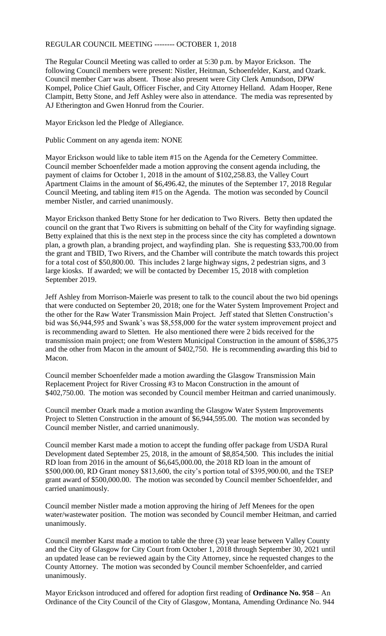## REGULAR COUNCIL MEETING -------- OCTOBER 1, 2018

The Regular Council Meeting was called to order at 5:30 p.m. by Mayor Erickson. The following Council members were present: Nistler, Heitman, Schoenfelder, Karst, and Ozark. Council member Carr was absent. Those also present were City Clerk Amundson, DPW Kompel, Police Chief Gault, Officer Fischer, and City Attorney Helland. Adam Hooper, Rene Clampitt, Betty Stone, and Jeff Ashley were also in attendance. The media was represented by AJ Etherington and Gwen Honrud from the Courier.

Mayor Erickson led the Pledge of Allegiance.

Public Comment on any agenda item: NONE

Mayor Erickson would like to table item #15 on the Agenda for the Cemetery Committee. Council member Schoenfelder made a motion approving the consent agenda including, the payment of claims for October 1, 2018 in the amount of \$102,258.83, the Valley Court Apartment Claims in the amount of \$6,496.42, the minutes of the September 17, 2018 Regular Council Meeting, and tabling item #15 on the Agenda. The motion was seconded by Council member Nistler, and carried unanimously.

Mayor Erickson thanked Betty Stone for her dedication to Two Rivers. Betty then updated the council on the grant that Two Rivers is submitting on behalf of the City for wayfinding signage. Betty explained that this is the next step in the process since the city has completed a downtown plan, a growth plan, a branding project, and wayfinding plan. She is requesting \$33,700.00 from the grant and TBID, Two Rivers, and the Chamber will contribute the match towards this project for a total cost of \$50,800.00. This includes 2 large highway signs, 2 pedestrian signs, and 3 large kiosks. If awarded; we will be contacted by December 15, 2018 with completion September 2019.

Jeff Ashley from Morrison-Maierle was present to talk to the council about the two bid openings that were conducted on September 20, 2018; one for the Water System Improvement Project and the other for the Raw Water Transmission Main Project. Jeff stated that Sletten Construction's bid was \$6,944,595 and Swank's was \$8,558,000 for the water system improvement project and is recommending award to Sletten. He also mentioned there were 2 bids received for the transmission main project; one from Western Municipal Construction in the amount of \$586,375 and the other from Macon in the amount of \$402,750. He is recommending awarding this bid to Macon.

Council member Schoenfelder made a motion awarding the Glasgow Transmission Main Replacement Project for River Crossing #3 to Macon Construction in the amount of \$402,750.00. The motion was seconded by Council member Heitman and carried unanimously.

Council member Ozark made a motion awarding the Glasgow Water System Improvements Project to Sletten Construction in the amount of \$6,944,595.00. The motion was seconded by Council member Nistler, and carried unanimously.

Council member Karst made a motion to accept the funding offer package from USDA Rural Development dated September 25, 2018, in the amount of \$8,854,500. This includes the initial RD loan from 2016 in the amount of \$6,645,000.00, the 2018 RD loan in the amount of \$500,000.00, RD Grant money \$813,600, the city's portion total of \$395,900.00, and the TSEP grant award of \$500,000.00. The motion was seconded by Council member Schoenfelder, and carried unanimously.

Council member Nistler made a motion approving the hiring of Jeff Menees for the open water/wastewater position. The motion was seconded by Council member Heitman, and carried unanimously.

Council member Karst made a motion to table the three (3) year lease between Valley County and the City of Glasgow for City Court from October 1, 2018 through September 30, 2021 until an updated lease can be reviewed again by the City Attorney, since he requested changes to the County Attorney. The motion was seconded by Council member Schoenfelder, and carried unanimously.

Mayor Erickson introduced and offered for adoption first reading of **Ordinance No. 958** – An Ordinance of the City Council of the City of Glasgow, Montana, Amending Ordinance No. 944